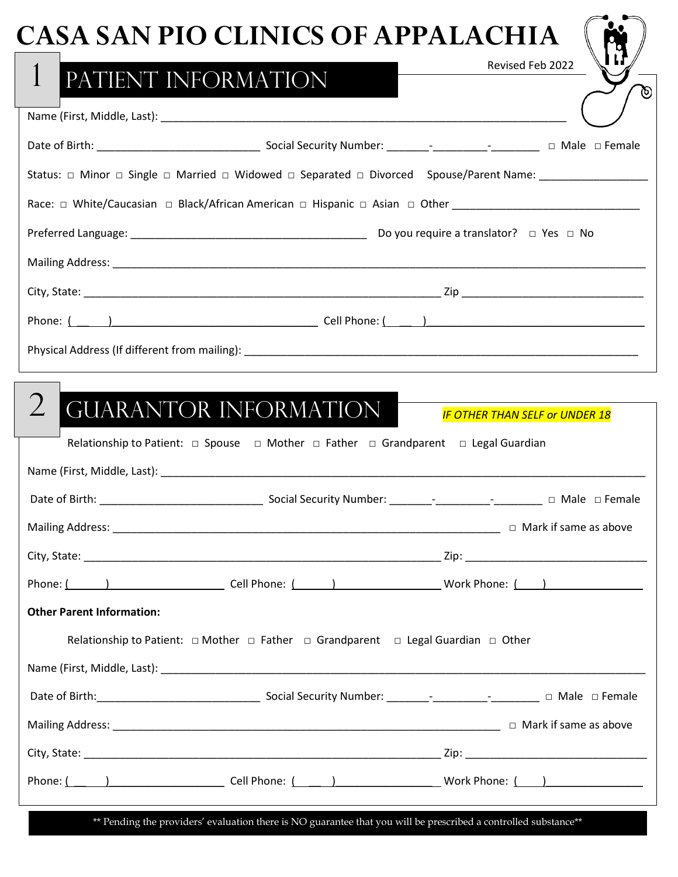| Revised Feb 2022<br>$\mathbf{1}$<br>PATIENT INFORMATION<br><b>GUARANTOR INFORMATION</b><br><b>IF OTHER THAN SELF or UNDER 18</b><br>Relationship to Patient: $\Box$ Spouse $\Box$ Mother $\Box$ Father $\Box$ Grandparent $\Box$ Legal Guardian<br>Phone: ( )            Cell Phone: ( _____ )           Work Phone: (_____)<br><b>Other Parent Information:</b><br>Relationship to Patient: $\Box$ Mother $\Box$ Father $\Box$ Grandparent $\Box$ Legal Guardian $\Box$ Other | <b>CASA SAN PIO CLINICS OF APPALACHIA</b> |
|--------------------------------------------------------------------------------------------------------------------------------------------------------------------------------------------------------------------------------------------------------------------------------------------------------------------------------------------------------------------------------------------------------------------------------------------------------------------------------|-------------------------------------------|
|                                                                                                                                                                                                                                                                                                                                                                                                                                                                                |                                           |
|                                                                                                                                                                                                                                                                                                                                                                                                                                                                                |                                           |
|                                                                                                                                                                                                                                                                                                                                                                                                                                                                                |                                           |
|                                                                                                                                                                                                                                                                                                                                                                                                                                                                                |                                           |
|                                                                                                                                                                                                                                                                                                                                                                                                                                                                                |                                           |
|                                                                                                                                                                                                                                                                                                                                                                                                                                                                                |                                           |
|                                                                                                                                                                                                                                                                                                                                                                                                                                                                                |                                           |
|                                                                                                                                                                                                                                                                                                                                                                                                                                                                                |                                           |
|                                                                                                                                                                                                                                                                                                                                                                                                                                                                                |                                           |
|                                                                                                                                                                                                                                                                                                                                                                                                                                                                                |                                           |
|                                                                                                                                                                                                                                                                                                                                                                                                                                                                                |                                           |
|                                                                                                                                                                                                                                                                                                                                                                                                                                                                                |                                           |
|                                                                                                                                                                                                                                                                                                                                                                                                                                                                                |                                           |
|                                                                                                                                                                                                                                                                                                                                                                                                                                                                                |                                           |
|                                                                                                                                                                                                                                                                                                                                                                                                                                                                                |                                           |
|                                                                                                                                                                                                                                                                                                                                                                                                                                                                                |                                           |
|                                                                                                                                                                                                                                                                                                                                                                                                                                                                                |                                           |
|                                                                                                                                                                                                                                                                                                                                                                                                                                                                                |                                           |
|                                                                                                                                                                                                                                                                                                                                                                                                                                                                                |                                           |
|                                                                                                                                                                                                                                                                                                                                                                                                                                                                                |                                           |
|                                                                                                                                                                                                                                                                                                                                                                                                                                                                                |                                           |
|                                                                                                                                                                                                                                                                                                                                                                                                                                                                                |                                           |

\*\* Pending the providers' evaluation there is NO guarantee that you will be prescribed a controlled substance\*\*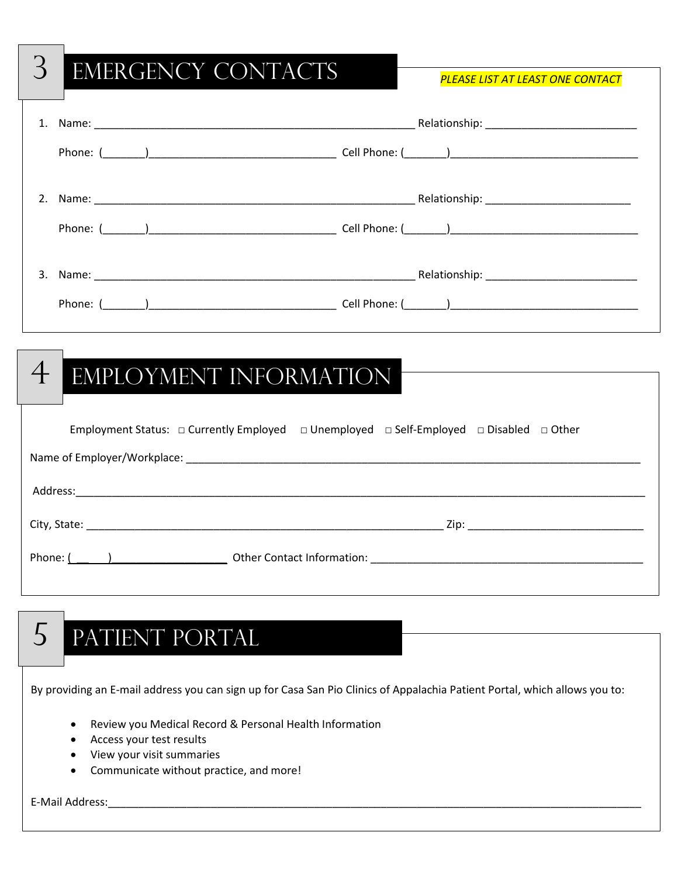# 3 Emergency Contacts *PLEASE LIST AT LEAST ONE CONTACT*  1. Name: etc. and the set of the set of the set of the set of the set of the set of the set of the set of the set of the set of the set of the set of the set of the set of the set of the set of the set of the set of the se Phone: (\_\_\_\_\_\_\_)\_\_\_\_\_\_\_\_\_\_\_\_\_\_\_\_\_\_\_\_\_\_\_\_\_\_\_\_\_\_\_ Cell Phone: (\_\_\_\_\_\_\_)\_\_\_\_\_\_\_\_\_\_\_\_\_\_\_\_\_\_\_\_\_\_\_\_\_\_\_\_\_\_\_ 2. Name: \_\_\_\_\_\_\_\_\_\_\_\_\_\_\_\_\_\_\_\_\_\_\_\_\_\_\_\_\_\_\_\_\_\_\_\_\_\_\_\_\_\_\_\_\_\_\_\_\_\_\_\_\_ Relationship: \_\_\_\_\_\_\_\_\_\_\_\_\_\_\_\_\_\_\_\_\_\_\_\_ Phone: (\_\_\_\_\_\_\_)\_\_\_\_\_\_\_\_\_\_\_\_\_\_\_\_\_\_\_\_\_\_\_\_\_\_\_\_\_\_\_ Cell Phone: (\_\_\_\_\_\_\_)\_\_\_\_\_\_\_\_\_\_\_\_\_\_\_\_\_\_\_\_\_\_\_\_\_\_\_\_\_\_\_ 3. Name: 2008. The set of the set of the set of the set of the set of the set of the set of the set of the set of the set of the set of the set of the set of the set of the set of the set of the set of the set of the set o Phone: (\_\_\_\_\_\_\_)\_\_\_\_\_\_\_\_\_\_\_\_\_\_\_\_\_\_\_\_\_\_\_\_\_\_\_\_\_\_\_ Cell Phone: (\_\_\_\_\_\_\_)\_\_\_\_\_\_\_\_\_\_\_\_\_\_\_\_\_\_\_\_\_\_\_\_\_\_\_\_\_\_\_

# 4 EMPLOYMENT INFORMATION

| Employment Status: $\Box$ Currently Employed $\Box$ Unemployed $\Box$ Self-Employed $\Box$ Disabled $\Box$ Other |  |  |  |
|------------------------------------------------------------------------------------------------------------------|--|--|--|
|                                                                                                                  |  |  |  |
|                                                                                                                  |  |  |  |
|                                                                                                                  |  |  |  |
| Phone: $\left($ $\right)$                                                                                        |  |  |  |

# 5 Patient Portal

By providing an E-mail address you can sign up for Casa San Pio Clinics of Appalachia Patient Portal, which allows you to:

- Review you Medical Record & Personal Health Information
- Access your test results
- View your visit summaries
- Communicate without practice, and more!

E-Mail Address: with a state of the state of the state of the state of the state of the state of the state of the state of the state of the state of the state of the state of the state of the state of the state of the stat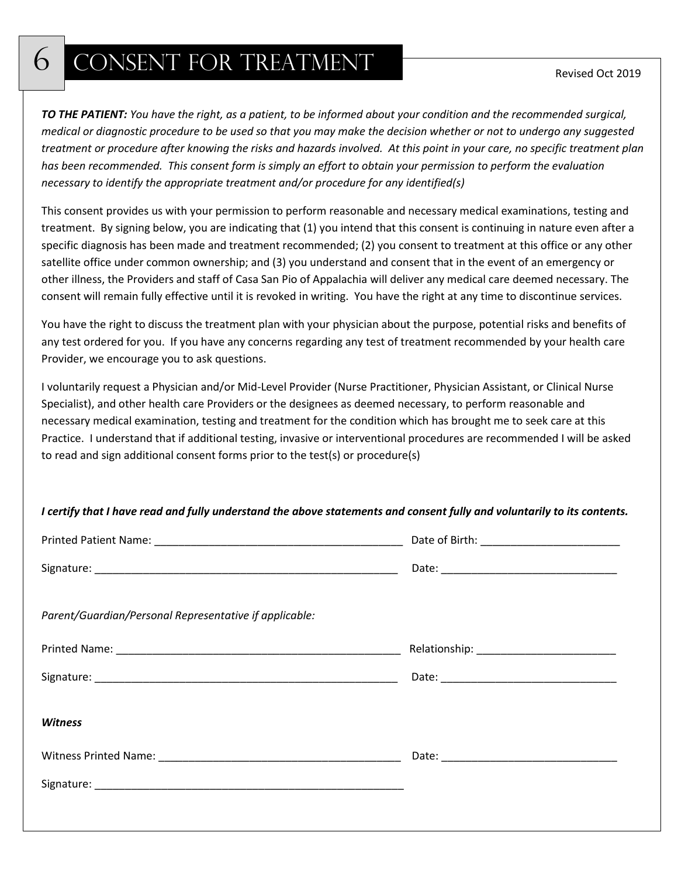## 6 CONSENT FOR TREATMENT

*TO THE PATIENT: You have the right, as a patient, to be informed about your condition and the recommended surgical, medical or diagnostic procedure to be used so that you may make the decision whether or not to undergo any suggested treatment or procedure after knowing the risks and hazards involved. At this point in your care, no specific treatment plan has been recommended. This consent form is simply an effort to obtain your permission to perform the evaluation necessary to identify the appropriate treatment and/or procedure for any identified(s)*

This consent provides us with your permission to perform reasonable and necessary medical examinations, testing and treatment. By signing below, you are indicating that (1) you intend that this consent is continuing in nature even after a specific diagnosis has been made and treatment recommended; (2) you consent to treatment at this office or any other satellite office under common ownership; and (3) you understand and consent that in the event of an emergency or other illness, the Providers and staff of Casa San Pio of Appalachia will deliver any medical care deemed necessary. The consent will remain fully effective until it is revoked in writing. You have the right at any time to discontinue services.

You have the right to discuss the treatment plan with your physician about the purpose, potential risks and benefits of any test ordered for you. If you have any concerns regarding any test of treatment recommended by your health care Provider, we encourage you to ask questions.

I voluntarily request a Physician and/or Mid-Level Provider (Nurse Practitioner, Physician Assistant, or Clinical Nurse Specialist), and other health care Providers or the designees as deemed necessary, to perform reasonable and necessary medical examination, testing and treatment for the condition which has brought me to seek care at this Practice. I understand that if additional testing, invasive or interventional procedures are recommended I will be asked to read and sign additional consent forms prior to the test(s) or procedure(s)

#### *I certify that I have read and fully understand the above statements and consent fully and voluntarily to its contents.*

| Parent/Guardian/Personal Representative if applicable: |  |
|--------------------------------------------------------|--|
|                                                        |  |
|                                                        |  |
|                                                        |  |
| <b>Witness</b>                                         |  |
|                                                        |  |
|                                                        |  |
|                                                        |  |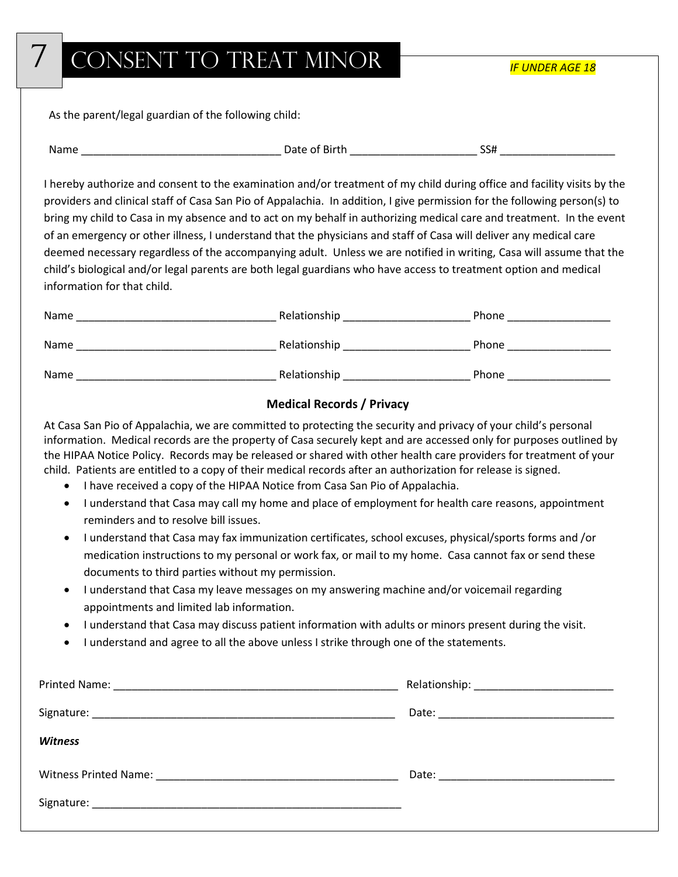## CONSENT TO TREAT MINOR

*IF UNDER AGE 18*

As the parent/legal guardian of the following child:

|  | Name | Date<br>Bırtr<br>-<br>. | --<br>……. |
|--|------|-------------------------|-----------|
|--|------|-------------------------|-----------|

I hereby authorize and consent to the examination and/or treatment of my child during office and facility visits by the providers and clinical staff of Casa San Pio of Appalachia. In addition, I give permission for the following person(s) to bring my child to Casa in my absence and to act on my behalf in authorizing medical care and treatment. In the event of an emergency or other illness, I understand that the physicians and staff of Casa will deliver any medical care deemed necessary regardless of the accompanying adult. Unless we are notified in writing, Casa will assume that the child's biological and/or legal parents are both legal guardians who have access to treatment option and medical information for that child.

| Name | Relationship | Phone |
|------|--------------|-------|
| Name | Relationship | Phone |
| Name | Relationship | Phone |

#### **Medical Records / Privacy**

At Casa San Pio of Appalachia, we are committed to protecting the security and privacy of your child's personal information. Medical records are the property of Casa securely kept and are accessed only for purposes outlined by the HIPAA Notice Policy. Records may be released or shared with other health care providers for treatment of your child. Patients are entitled to a copy of their medical records after an authorization for release is signed.

- I have received a copy of the HIPAA Notice from Casa San Pio of Appalachia.
- I understand that Casa may call my home and place of employment for health care reasons, appointment reminders and to resolve bill issues.
- I understand that Casa may fax immunization certificates, school excuses, physical/sports forms and /or medication instructions to my personal or work fax, or mail to my home. Casa cannot fax or send these documents to third parties without my permission.
- I understand that Casa my leave messages on my answering machine and/or voicemail regarding appointments and limited lab information.
- I understand that Casa may discuss patient information with adults or minors present during the visit.
- I understand and agree to all the above unless I strike through one of the statements.

| <b>Witness</b> |  |
|----------------|--|
|                |  |
|                |  |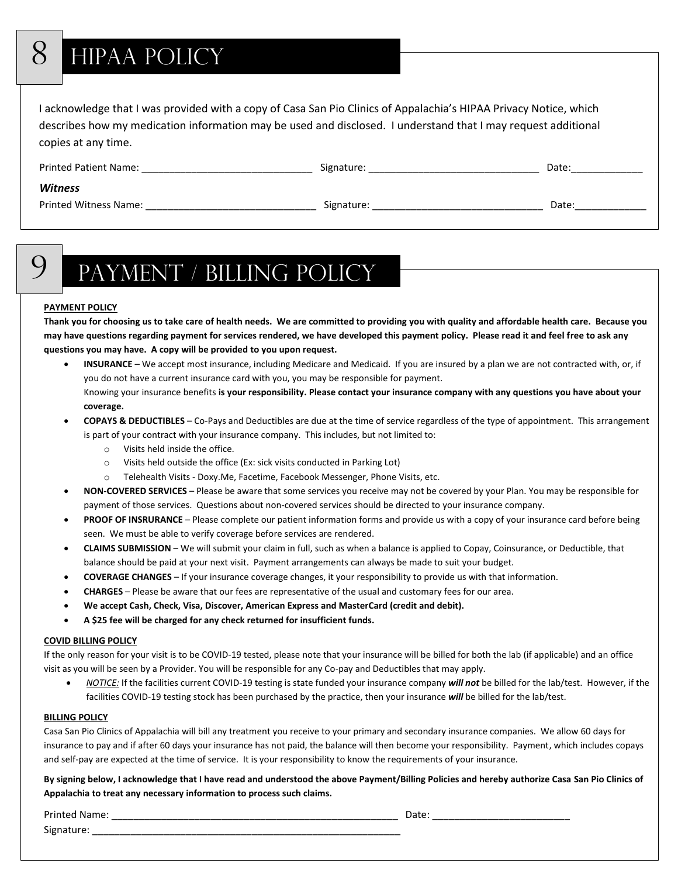# 8 HIPAA POLICY

I acknowledge that I was provided with a copy of Casa San Pio Clinics of Appalachia's HIPAA Privacy Notice, which describes how my medication information may be used and disclosed. I understand that I may request additional copies at any time.

| <b>Printed Patient Name:</b> | Signature: | Date: |
|------------------------------|------------|-------|
| <b>Witness</b>               |            |       |
| <b>Printed Witness Name:</b> | Signature: | Date: |

# 9 Payment / Billing Policy

#### **PAYMENT POLICY**

**Thank you for choosing us to take care of health needs. We are committed to providing you with quality and affordable health care. Because you may have questions regarding payment for services rendered, we have developed this payment policy. Please read it and feel free to ask any questions you may have. A copy will be provided to you upon request.**

- **INSURANCE**  We accept most insurance, including Medicare and Medicaid. If you are insured by a plan we are not contracted with, or, if you do not have a current insurance card with you, you may be responsible for payment. Knowing your insurance benefits **is your responsibility. Please contact your insurance company with any questions you have about your coverage.**
- **COPAYS & DEDUCTIBLES**  Co-Pays and Deductibles are due at the time of service regardless of the type of appointment. This arrangement is part of your contract with your insurance company. This includes, but not limited to:
	- o Visits held inside the office.
	- o Visits held outside the office (Ex: sick visits conducted in Parking Lot)
	- o Telehealth Visits Doxy.Me, Facetime, Facebook Messenger, Phone Visits, etc.
- **NON-COVERED SERVICES**  Please be aware that some services you receive may not be covered by your Plan. You may be responsible for payment of those services. Questions about non-covered services should be directed to your insurance company.
- **PROOF OF INSRURANCE**  Please complete our patient information forms and provide us with a copy of your insurance card before being seen. We must be able to verify coverage before services are rendered.
- **CLAIMS SUBMISSION**  We will submit your claim in full, such as when a balance is applied to Copay, Coinsurance, or Deductible, that balance should be paid at your next visit. Payment arrangements can always be made to suit your budget.
- **COVERAGE CHANGES**  If your insurance coverage changes, it your responsibility to provide us with that information.
- **CHARGES**  Please be aware that our fees are representative of the usual and customary fees for our area.
- **We accept Cash, Check, Visa, Discover, American Express and MasterCard (credit and debit).**
- **A \$25 fee will be charged for any check returned for insufficient funds.**

#### **COVID BILLING POLICY**

If the only reason for your visit is to be COVID-19 tested, please note that your insurance will be billed for both the lab (if applicable) and an office visit as you will be seen by a Provider. You will be responsible for any Co-pay and Deductibles that may apply.

• *NOTICE:* If the facilities current COVID-19 testing is state funded your insurance company *will not* be billed for the lab/test. However, if the facilities COVID-19 testing stock has been purchased by the practice, then your insurance *will* be billed for the lab/test.

#### **BILLING POLICY**

Casa San Pio Clinics of Appalachia will bill any treatment you receive to your primary and secondary insurance companies. We allow 60 days for insurance to pay and if after 60 days your insurance has not paid, the balance will then become your responsibility. Payment, which includes copays and self-pay are expected at the time of service. It is your responsibility to know the requirements of your insurance.

**By signing below, I acknowledge that I have read and understood the above Payment/Billing Policies and hereby authorize Casa San Pio Clinics of Appalachia to treat any necessary information to process such claims.**

Printed Name: \_\_\_\_\_\_\_\_\_\_\_\_\_\_\_\_\_\_\_\_\_\_\_\_\_\_\_\_\_\_\_\_\_\_\_\_\_\_\_\_\_\_\_\_\_\_\_\_\_\_\_\_ Date: \_\_\_\_\_\_\_\_\_\_\_\_\_\_\_\_\_\_\_\_\_\_\_\_\_

Signature: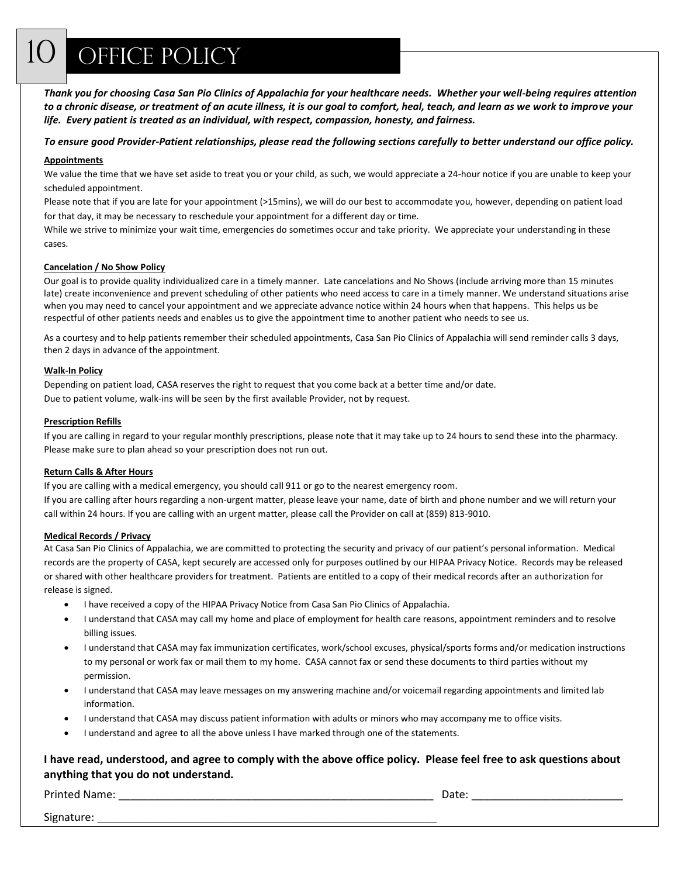*Thank you for choosing Casa San Pio Clinics of Appalachia for your healthcare needs. Whether your well-being requires attention to a chronic disease, or treatment of an acute illness, it is our goal to comfort, heal, teach, and learn as we work to improve your life. Every patient is treated as an individual, with respect, compassion, honesty, and fairness.*

*To ensure good Provider-Patient relationships, please read the following sections carefully to better understand our office policy.*

#### **Appointments**

We value the time that we have set aside to treat you or your child, as such, we would appreciate a 24-hour notice if you are unable to keep your scheduled appointment.

Please note that if you are late for your appointment (>15mins), we will do our best to accommodate you, however, depending on patient load for that day, it may be necessary to reschedule your appointment for a different day or time.

While we strive to minimize your wait time, emergencies do sometimes occur and take priority. We appreciate your understanding in these cases.

#### **Cancelation / No Show Policy**

Our goal is to provide quality individualized care in a timely manner. Late cancelations and No Shows (include arriving more than 15 minutes late) create inconvenience and prevent scheduling of other patients who need access to care in a timely manner. We understand situations arise when you may need to cancel your appointment and we appreciate advance notice within 24 hours when that happens. This helps us be respectful of other patients needs and enables us to give the appointment time to another patient who needs to see us.

As a courtesy and to help patients remember their scheduled appointments, Casa San Pio Clinics of Appalachia will send reminder calls 3 days, then 2 days in advance of the appointment.

#### **Walk-In Policy**

Depending on patient load, CASA reserves the right to request that you come back at a better time and/or date. Due to patient volume, walk-ins will be seen by the first available Provider, not by request.

#### **Prescription Refills**

If you are calling in regard to your regular monthly prescriptions, please note that it may take up to 24 hours to send these into the pharmacy. Please make sure to plan ahead so your prescription does not run out.

#### **Return Calls & After Hours**

If you are calling with a medical emergency, you should call 911 or go to the nearest emergency room. If you are calling after hours regarding a non-urgent matter, please leave your name, date of birth and phone number and we will return your call within 24 hours. If you are calling with an urgent matter, please call the Provider on call at (859) 813-9010.

#### **Medical Records / Privacy**

At Casa San Pio Clinics of Appalachia, we are committed to protecting the security and privacy of our patient's personal information. Medical records are the property of CASA, kept securely are accessed only for purposes outlined by our HIPAA Privacy Notice. Records may be released or shared with other healthcare providers for treatment. Patients are entitled to a copy of their medical records after an authorization for release is signed.

- I have received a copy of the HIPAA Privacy Notice from Casa San Pio Clinics of Appalachia.
- I understand that CASA may call my home and place of employment for health care reasons, appointment reminders and to resolve billing issues.
- I understand that CASA may fax immunization certificates, work/school excuses, physical/sports forms and/or medication instructions to my personal or work fax or mail them to my home. CASA cannot fax or send these documents to third parties without my permission.
- I understand that CASA may leave messages on my answering machine and/or voicemail regarding appointments and limited lab information.
- I understand that CASA may discuss patient information with adults or minors who may accompany me to office visits.
- I understand and agree to all the above unless I have marked through one of the statements.

#### **I have read, understood, and agree to comply with the above office policy. Please feel free to ask questions about anything that you do not understand.**

Printed Name: \_\_\_\_\_\_\_\_\_\_\_\_\_\_\_\_\_\_\_\_\_\_\_\_\_\_\_\_\_\_\_\_\_\_\_\_\_\_\_\_\_\_\_\_\_\_\_\_\_\_\_\_ Date: \_\_\_\_\_\_\_\_\_\_\_\_\_\_\_\_\_\_\_\_\_\_\_\_\_

Signature: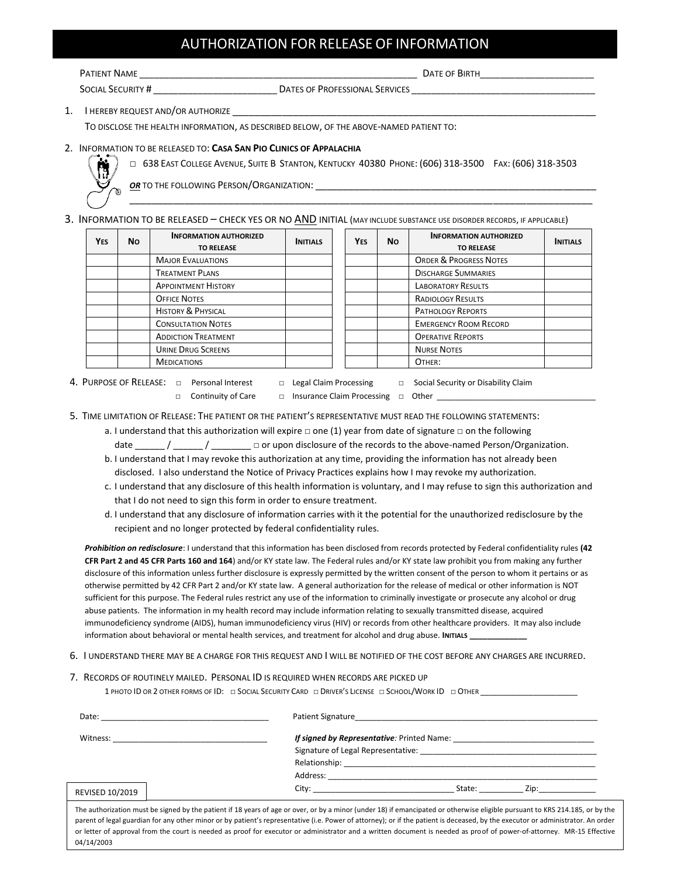### AUTHORIZATION FOR RELEASE OF INFORMATION

| PATIENT NAME             |                                | DATE OF BIRTH |
|--------------------------|--------------------------------|---------------|
| <b>SOCIAL SECURITY #</b> | DATES OF PROFESSIONAL SERVICES |               |

1. I HEREBY REQUEST AND/OR AUTHORIZE

TO DISCLOSE THE HEALTH INFORMATION, AS DESCRIBED BELOW, OF THE ABOVE-NAMED PATIENT TO:

#### 2. INFORMATION TO BE RELEASED TO: **CASA SAN PIO CLINICS OF APPALACHIA**



□ . 638 EAST COLLEGE AVENUE, SUITE B STANTON, KENTUCKY 40380 PHONE: (606) 318-3500 FAX: (606) 318-3503

\_\_\_\_\_\_\_\_\_\_\_\_\_\_\_\_\_\_\_\_\_\_\_\_\_\_\_\_\_\_\_\_\_\_\_\_\_\_\_\_\_\_\_\_\_\_\_\_\_\_\_\_\_\_\_\_\_\_\_\_\_\_\_\_\_\_\_\_\_\_\_\_\_\_\_\_\_\_\_\_\_\_\_\_

*OR* TO THE FOLLOWING PERSON/ORGANIZATION:

#### 3. INFORMATION TO BE RELEASED - CHECK YES OR NO AND INITIAL (MAY INCLUDE SUBSTANCE USE DISORDER RECORDS, IF APPLICABLE)

| Yes | No. | <b>INFORMATION AUTHORIZED</b><br><b>TO RELEASE</b> | <b>INITIALS</b> | <b>YES</b> | <b>No</b> | <b>INFORMATION AUTHORIZED</b><br><b>TO RELEASE</b> | <b>INITIALS</b> |
|-----|-----|----------------------------------------------------|-----------------|------------|-----------|----------------------------------------------------|-----------------|
|     |     | <b>MAJOR EVALUATIONS</b>                           |                 |            |           | <b>ORDER &amp; PROGRESS NOTES</b>                  |                 |
|     |     | <b>TREATMENT PLANS</b>                             |                 |            |           | <b>DISCHARGE SUMMARIES</b>                         |                 |
|     |     | <b>APPOINTMENT HISTORY</b>                         |                 |            |           | <b>LABORATORY RESULTS</b>                          |                 |
|     |     | <b>OFFICE NOTES</b>                                |                 |            |           | <b>RADIOLOGY RESULTS</b>                           |                 |
|     |     | <b>HISTORY &amp; PHYSICAL</b>                      |                 |            |           | <b>PATHOLOGY REPORTS</b>                           |                 |
|     |     | <b>CONSULTATION NOTES</b>                          |                 |            |           | <b>EMERGENCY ROOM RECORD</b>                       |                 |
|     |     | <b>ADDICTION TREATMENT</b>                         |                 |            |           | <b>OPERATIVE REPORTS</b>                           |                 |
|     |     | <b>URINE DRUG SCREENS</b>                          |                 |            |           | <b>NURSE NOTES</b>                                 |                 |
|     |     | <b>MEDICATIONS</b>                                 |                 |            |           | OTHER:                                             |                 |

- 4. PURPOSE OF RELEASE: □ Personal Interest □ Legal Claim Processing □ Social Security or Disability Claim
	-
	- □ Continuity of Care □ Insurance Claim Processing □ Other \_
		-
- 5. TIME LIMITATION OF RELEASE: THE PATIENT OR THE PATIENT'S REPRESENTATIVE MUST READ THE FOLLOWING STATEMENTS:
	- a. I understand that this authorization will expire □ one (1) year from date of signature □ on the following

date  $\frac{1}{2}$  /  $\frac{1}{2}$  or upon disclosure of the records to the above-named Person/Organization.

- b. I understand that I may revoke this authorization at any time, providing the information has not already been disclosed. I also understand the Notice of Privacy Practices explains how I may revoke my authorization.
- c. I understand that any disclosure of this health information is voluntary, and I may refuse to sign this authorization and that I do not need to sign this form in order to ensure treatment.
- d. I understand that any disclosure of information carries with it the potential for the unauthorized redisclosure by the recipient and no longer protected by federal confidentiality rules.

*Prohibition on redisclosure*: I understand that this information has been disclosed from records protected by Federal confidentiality rules **(42 CFR Part 2 and 45 CFR Parts 160 and 164**) and/or KY state law. The Federal rules and/or KY state law prohibit you from making any further disclosure of this information unless further disclosure is expressly permitted by the written consent of the person to whom it pertains or as otherwise permitted by 42 CFR Part 2 and/or KY state law. A general authorization for the release of medical or other information is NOT sufficient for this purpose. The Federal rules restrict any use of the information to criminally investigate or prosecute any alcohol or drug abuse patients. The information in my health record may include information relating to sexually transmitted disease, acquired immunodeficiency syndrome (AIDS), human immunodeficiency virus (HIV) or records from other healthcare providers. It may also include information about behavioral or mental health services, and treatment for alcohol and drug abuse. **INITIALS \_\_\_\_\_\_\_\_\_\_\_\_\_**

6. I UNDERSTAND THERE MAY BE A CHARGE FOR THIS REQUEST AND I WILL BE NOTIFIED OF THE COST BEFORE ANY CHARGES ARE INCURRED.

#### 7. RECORDS OF ROUTINELY MAILED. PERSONAL ID IS REQUIRED WHEN RECORDS ARE PICKED UP

1 PHOTO ID OR 2 OTHER FORMS OF ID: □ SOCIAL SECURITY CARD □ DRIVER'S LICENSE □ SCHOOL/WORK ID □ OTHER

| Date:           | <b>Patient Signature</b><br><u> 1990 - Jan James James, president eta idazlear eta idazlea (h. 1989).</u>                                                                                                                                |
|-----------------|------------------------------------------------------------------------------------------------------------------------------------------------------------------------------------------------------------------------------------------|
| Witness:        | <b>If signed by Representative</b> : Printed Name:<br>the control of the control of the control of the control of the control of                                                                                                         |
|                 |                                                                                                                                                                                                                                          |
|                 |                                                                                                                                                                                                                                          |
|                 |                                                                                                                                                                                                                                          |
| REVISED 10/2019 | City: the contract of the contract of the contract of the contract of the contract of the contract of the contract of the contract of the contract of the contract of the contract of the contract of the contract of the cont<br>State: |

The authorization must be signed by the patient if 18 years of age or over, or by a minor (under 18) if emancipated or otherwise eligible pursuant to KRS 214.185, or by the parent of legal guardian for any other minor or by patient's representative (i.e. Power of attorney); or if the patient is deceased, by the executor or administrator. An order or letter of approval from the court is needed as proof for executor or administrator and a written document is needed as proof of power-of-attorney. MR-15 Effective 04/14/2003